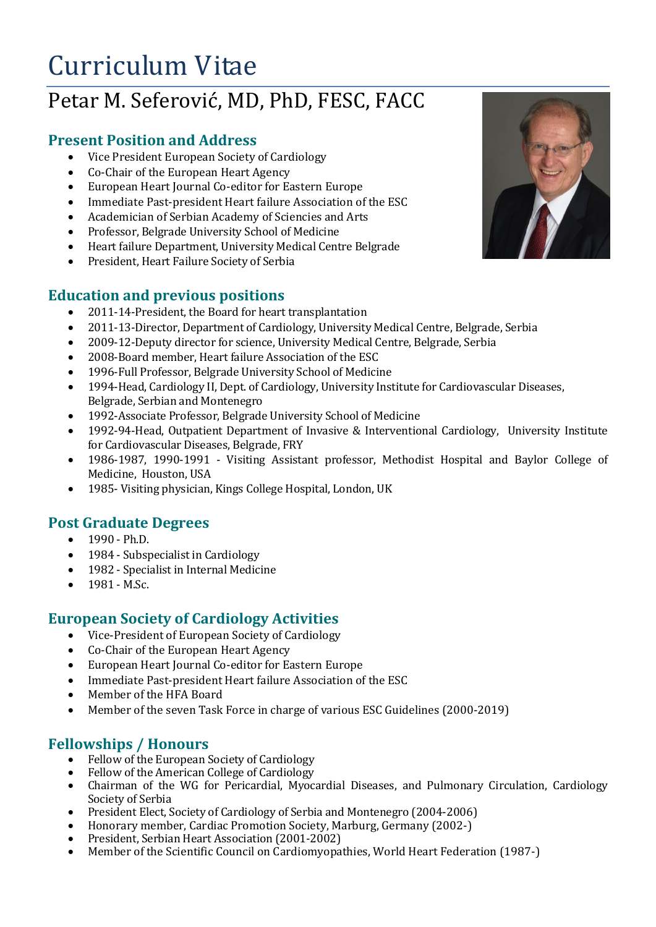# Curriculum Vitae

# Petar M. Seferović, MD, PhD, FESC, FACC

### **Present Position and Address**

- Vice President European Society of Cardiology
- Co-Chair of the European Heart Agency
- European Heart Journal Co-editor for Eastern Europe
- Immediate Past-president Heart failure Association of the ESC
- Academician of Serbian Academy of Sciencies and Arts
- Professor, Belgrade University School of Medicine
- Heart failure Department, University Medical Centre Belgrade
- President, Heart Failure Society of Serbia

### **Education and previous positions**

- 2011-14-President, the Board for heart transplantation
- 2011-13-Director, Department of Cardiology, University Medical Centre, Belgrade, Serbia
- 2009-12-Deputy director for science, University Medical Centre, Belgrade, Serbia
- 2008-Board member, Heart failure Association of the ESC
- 1996-Full Professor, Belgrade University School of Medicine
- 1994-Head, Cardiology II, Dept. of Cardiology, University Institute for Cardiovascular Diseases, Belgrade, Serbian and Montenegro
- 1992-Associate Professor, Belgrade University School of Medicine
- 1992-94-Head, Outpatient Department of Invasive & Interventional Cardiology, University Institute for Cardiovascular Diseases, Belgrade, FRY
- 1986-1987, 1990-1991 Visiting Assistant professor, Methodist Hospital and Baylor College of Medicine, Houston, USA
- 1985- Visiting physician, Kings College Hospital, London, UK

#### **Post Graduate Degrees**

- $-1990 Ph.D.$
- 1984 Subspecialist in Cardiology
- 1982 Specialist in Internal Medicine
- $-1981 M.Sc.$

#### **European Society of Cardiology Activities**

- Vice-President of European Society of Cardiology
- Co-Chair of the European Heart Agency
- European Heart Journal Co-editor for Eastern Europe
- Immediate Past-president Heart failure Association of the ESC
- Member of the HFA Board
- Member of the seven Task Force in charge of various ESC Guidelines (2000-2019)

## **Fellowships / Honours**

- Fellow of the European Society of Cardiology
- Fellow of the American College of Cardiology
- Chairman of the WG for Pericardial, Myocardial Diseases, and Pulmonary Circulation, Cardiology Society of Serbia
- President Elect, Society of Cardiology of Serbia and Montenegro (2004-2006)
- Honorary member, Cardiac Promotion Society, Marburg, Germany (2002-)
- President, Serbian Heart Association (2001-2002)
- Member of the Scientific Council on Cardiomyopathies, World Heart Federation (1987-)

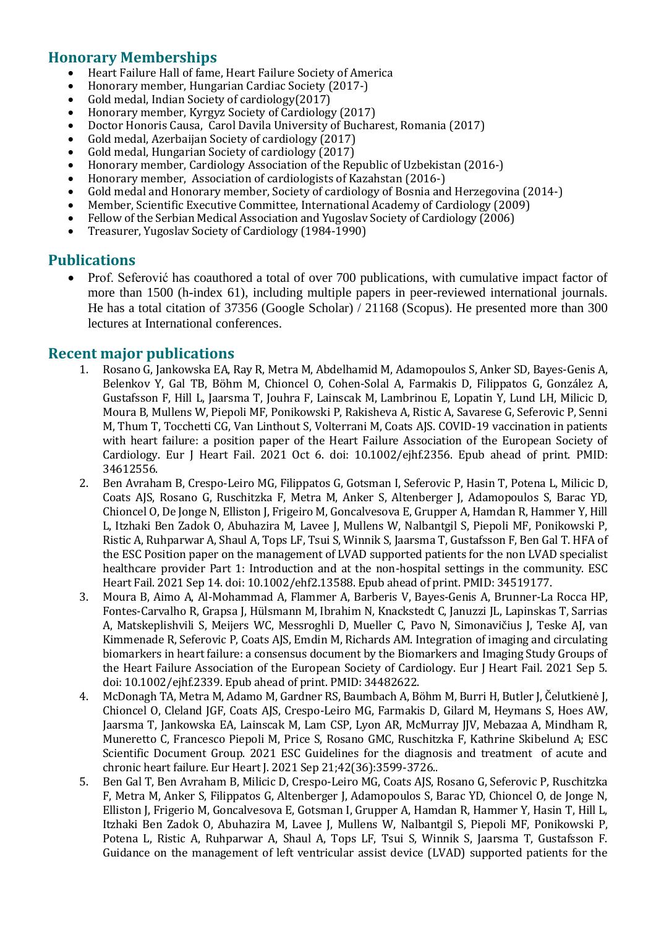### **Honorary Memberships**

- Heart Failure Hall of fame, Heart Failure Society of America
- Honorary member, Hungarian Cardiac Society (2017-)
- Gold medal, Indian Society of cardiology(2017)
- Honorary member, Kyrgyz Society of Cardiology (2017)
- Doctor Honoris Causa, Carol Davila University of Bucharest, Romania (2017)
- Gold medal, Azerbaijan Society of cardiology (2017)
- Gold medal, Hungarian Society of cardiology (2017)
- Honorary member, Cardiology Association of the Republic of Uzbekistan (2016-)
- Honorary member, Association of cardiologists of Kazahstan (2016-)
- Gold medal and Honorary member, Society of cardiology of Bosnia and Herzegovina (2014-)
- Member, Scientific Executive Committee, International Academy of Cardiology (2009)
- Fellow of the Serbian Medical Association and Yugoslav Society of Cardiology (2006)
- Treasurer, Yugoslav Society of Cardiology (1984-1990)

#### **Publications**

 Prof. Seferović has coauthored a total of over 700 publications, with cumulative impact factor of more than 1500 (h-index 61), including multiple papers in peer-reviewed international journals. He has a total citation of 37356 (Google Scholar) / 21168 (Scopus). He presented more than 300 lectures at International conferences.

#### **Recent major publications**

- 1. Rosano G, Jankowska EA, Ray R, Metra M, Abdelhamid M, Adamopoulos S, Anker SD, Bayes-Genis A, Belenkov Y, Gal TB, Böhm M, Chioncel O, Cohen-Solal A, Farmakis D, Filippatos G, González A, Gustafsson F, Hill L, Jaarsma T, Jouhra F, Lainscak M, Lambrinou E, Lopatin Y, Lund LH, Milicic D, Moura B, Mullens W, Piepoli MF, Ponikowski P, Rakisheva A, Ristic A, Savarese G, Seferovic P, Senni M, Thum T, Tocchetti CG, Van Linthout S, Volterrani M, Coats AJS. COVID-19 vaccination in patients with heart failure: a position paper of the Heart Failure Association of the European Society of Cardiology. Eur J Heart Fail. 2021 Oct 6. doi: 10.1002/ejhf.2356. Epub ahead of print. PMID: 34612556.
- 2. Ben Avraham B, Crespo-Leiro MG, Filippatos G, Gotsman I, Seferovic P, Hasin T, Potena L, Milicic D, Coats AJS, Rosano G, Ruschitzka F, Metra M, Anker S, Altenberger J, Adamopoulos S, Barac YD, Chioncel O, De Jonge N, Elliston J, Frigeiro M, Goncalvesova E, Grupper A, Hamdan R, Hammer Y, Hill L, Itzhaki Ben Zadok O, Abuhazira M, Lavee J, Mullens W, Nalbantgil S, Piepoli MF, Ponikowski P, Ristic A, Ruhparwar A, Shaul A, Tops LF, Tsui S, Winnik S, Jaarsma T, Gustafsson F, Ben Gal T. HFA of the ESC Position paper on the management of LVAD supported patients for the non LVAD specialist healthcare provider Part 1: Introduction and at the non-hospital settings in the community. ESC Heart Fail. 2021 Sep 14. doi: 10.1002/ehf2.13588. Epub ahead of print. PMID: 34519177.
- 3. Moura B, Aimo A, Al-Mohammad A, Flammer A, Barberis V, Bayes-Genis A, Brunner-La Rocca HP, Fontes-Carvalho R, Grapsa J, Hülsmann M, Ibrahim N, Knackstedt C, Januzzi JL, Lapinskas T, Sarrias A, Matskeplishvili S, Meijers WC, Messroghli D, Mueller C, Pavo N, Simonavičius J, Teske AJ, van Kimmenade R, Seferovic P, Coats AJS, Emdin M, Richards AM. Integration of imaging and circulating biomarkers in heart failure: a consensus document by the Biomarkers and Imaging Study Groups of the Heart Failure Association of the European Society of Cardiology. Eur J Heart Fail. 2021 Sep 5. doi: 10.1002/ejhf.2339. Epub ahead of print. PMID: 34482622.
- 4. McDonagh TA, Metra M, Adamo M, Gardner RS, Baumbach A, Böhm M, Burri H, Butler J, Čelutkienė J, Chioncel O, Cleland JGF, Coats AJS, Crespo-Leiro MG, Farmakis D, Gilard M, Heymans S, Hoes AW, Jaarsma T, Jankowska EA, Lainscak M, Lam CSP, Lyon AR, McMurray JJV, Mebazaa A, Mindham R, Muneretto C, Francesco Piepoli M, Price S, Rosano GMC, Ruschitzka F, Kathrine Skibelund A; ESC Scientific Document Group. 2021 ESC Guidelines for the diagnosis and treatment of acute and chronic heart failure. Eur Heart J. 2021 Sep 21;42(36):3599-3726..
- 5. Ben Gal T, Ben Avraham B, Milicic D, Crespo-Leiro MG, Coats AJS, Rosano G, Seferovic P, Ruschitzka F, Metra M, Anker S, Filippatos G, Altenberger J, Adamopoulos S, Barac YD, Chioncel O, de Jonge N, Elliston J, Frigerio M, Goncalvesova E, Gotsman I, Grupper A, Hamdan R, Hammer Y, Hasin T, Hill L, Itzhaki Ben Zadok O, Abuhazira M, Lavee J, Mullens W, Nalbantgil S, Piepoli MF, Ponikowski P, Potena L, Ristic A, Ruhparwar A, Shaul A, Tops LF, Tsui S, Winnik S, Jaarsma T, Gustafsson F. Guidance on the management of left ventricular assist device (LVAD) supported patients for the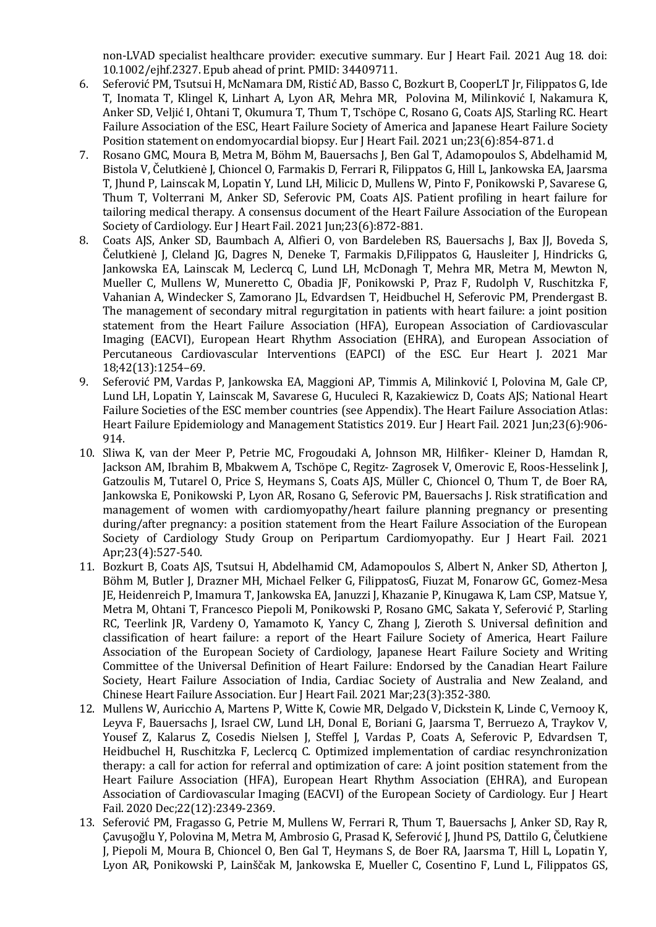non-LVAD specialist healthcare provider: executive summary. Eur J Heart Fail. 2021 Aug 18. doi: 10.1002/ejhf.2327. Epub ahead of print. PMID: 34409711.

- 6. Seferović PM, Tsutsui H, McNamara DM, Ristić AD, Basso C, Bozkurt B, CooperLT Jr, Filippatos G, Ide T, Inomata T, Klingel K, Linhart A, Lyon AR, Mehra MR, Polovina M, Milinković I, Nakamura K, Anker SD, Veljić I, Ohtani T, Okumura T, Thum T, Tschöpe C, Rosano G, Coats AJS, Starling RC. Heart Failure Association of the ESC, Heart Failure Society of America and Japanese Heart Failure Society Position statement on endomyocardial biopsy. Eur J Heart Fail. 2021 un;23(6):854-871. d
- 7. Rosano GMC, Moura B, Metra M, Böhm M, Bauersachs J, Ben Gal T, Adamopoulos S, Abdelhamid M, Bistola V, Čelutkienė J, Chioncel O, Farmakis D, Ferrari R, Filippatos G, Hill L, Jankowska EA, Jaarsma T, Jhund P, Lainscak M, Lopatin Y, Lund LH, Milicic D, Mullens W, Pinto F, Ponikowski P, Savarese G, Thum T, Volterrani M, Anker SD, Seferovic PM, Coats AJS. Patient profiling in heart failure for tailoring medical therapy. A consensus document of the Heart Failure Association of the European Society of Cardiology. Eur J Heart Fail. 2021 Jun;23(6):872-881.
- 8. Coats AJS, Anker SD, Baumbach A, Alfieri O, von Bardeleben RS, Bauersachs J, Bax JJ, Boveda S, Čelutkienė J, Cleland JG, Dagres N, Deneke T, Farmakis D,Filippatos G, Hausleiter J, Hindricks G, Jankowska EA, Lainscak M, Leclercq C, Lund LH, McDonagh T, Mehra MR, Metra M, Mewton N, Mueller C, Mullens W, Muneretto C, Obadia JF, Ponikowski P, Praz F, Rudolph V, Ruschitzka F, Vahanian A, Windecker S, Zamorano JL, Edvardsen T, Heidbuchel H, Seferovic PM, Prendergast B. The management of secondary mitral regurgitation in patients with heart failure: a joint position statement from the Heart Failure Association (HFA), European Association of Cardiovascular Imaging (EACVI), European Heart Rhythm Association (EHRA), and European Association of Percutaneous Cardiovascular Interventions (EAPCI) of the ESC. Eur Heart J. 2021 Mar 18;42(13):1254–69.
- 9. Seferović PM, Vardas P, Jankowska EA, Maggioni AP, Timmis A, Milinković I, Polovina M, Gale CP, Lund LH, Lopatin Y, Lainscak M, Savarese G, Huculeci R, Kazakiewicz D, Coats AJS; National Heart Failure Societies of the ESC member countries (see Appendix). The Heart Failure Association Atlas: Heart Failure Epidemiology and Management Statistics 2019. Eur J Heart Fail. 2021 Jun;23(6):906- 914.
- 10. Sliwa K, van der Meer P, Petrie MC, Frogoudaki A, Johnson MR, Hilfiker- Kleiner D, Hamdan R, Jackson AM, Ibrahim B, Mbakwem A, Tschöpe C, Regitz- Zagrosek V, Omerovic E, Roos-Hesselink J, Gatzoulis M, Tutarel O, Price S, Heymans S, Coats AJS, Müller C, Chioncel O, Thum T, de Boer RA, Jankowska E, Ponikowski P, Lyon AR, Rosano G, Seferovic PM, Bauersachs J. Risk stratification and management of women with cardiomyopathy/heart failure planning pregnancy or presenting during/after pregnancy: a position statement from the Heart Failure Association of the European Society of Cardiology Study Group on Peripartum Cardiomyopathy. Eur J Heart Fail. 2021 Apr;23(4):527-540.
- 11. Bozkurt B, Coats AJS, Tsutsui H, Abdelhamid CM, Adamopoulos S, Albert N, Anker SD, Atherton J, Böhm M, Butler J, Drazner MH, Michael Felker G, FilippatosG, Fiuzat M, Fonarow GC, Gomez-Mesa JE, Heidenreich P, Imamura T, Jankowska EA, Januzzi J, Khazanie P, Kinugawa K, Lam CSP, Matsue Y, Metra M, Ohtani T, Francesco Piepoli M, Ponikowski P, Rosano GMC, Sakata Y, Seferović P, Starling RC, Teerlink JR, Vardeny O, Yamamoto K, Yancy C, Zhang J, Zieroth S. Universal definition and classification of heart failure: a report of the Heart Failure Society of America, Heart Failure Association of the European Society of Cardiology, Japanese Heart Failure Society and Writing Committee of the Universal Definition of Heart Failure: Endorsed by the Canadian Heart Failure Society, Heart Failure Association of India, Cardiac Society of Australia and New Zealand, and Chinese Heart Failure Association. Eur J Heart Fail. 2021 Mar;23(3):352-380.
- 12. Mullens W, Auricchio A, Martens P, Witte K, Cowie MR, Delgado V, Dickstein K, Linde C, Vernooy K, Leyva F, Bauersachs J, Israel CW, Lund LH, Donal E, Boriani G, Jaarsma T, Berruezo A, Traykov V, Yousef Z, Kalarus Z, Cosedis Nielsen J, Steffel J, Vardas P, Coats A, Seferovic P, Edvardsen T, Heidbuchel H, Ruschitzka F, Leclercq C. Optimized implementation of cardiac resynchronization therapy: a call for action for referral and optimization of care: A joint position statement from the Heart Failure Association (HFA), European Heart Rhythm Association (EHRA), and European Association of Cardiovascular Imaging (EACVI) of the European Society of Cardiology. Eur J Heart Fail. 2020 Dec;22(12):2349-2369.
- 13. Seferović PM, Fragasso G, Petrie M, Mullens W, Ferrari R, Thum T, Bauersachs J, Anker SD, Ray R, Çavuşoğlu Y, Polovina M, Metra M, Ambrosio G, Prasad K, Seferović J, Jhund PS, Dattilo G, Čelutkiene J, Piepoli M, Moura B, Chioncel O, Ben Gal T, Heymans S, de Boer RA, Jaarsma T, Hill L, Lopatin Y, Lyon AR, Ponikowski P, Lainščak M, Jankowska E, Mueller C, Cosentino F, Lund L, Filippatos GS,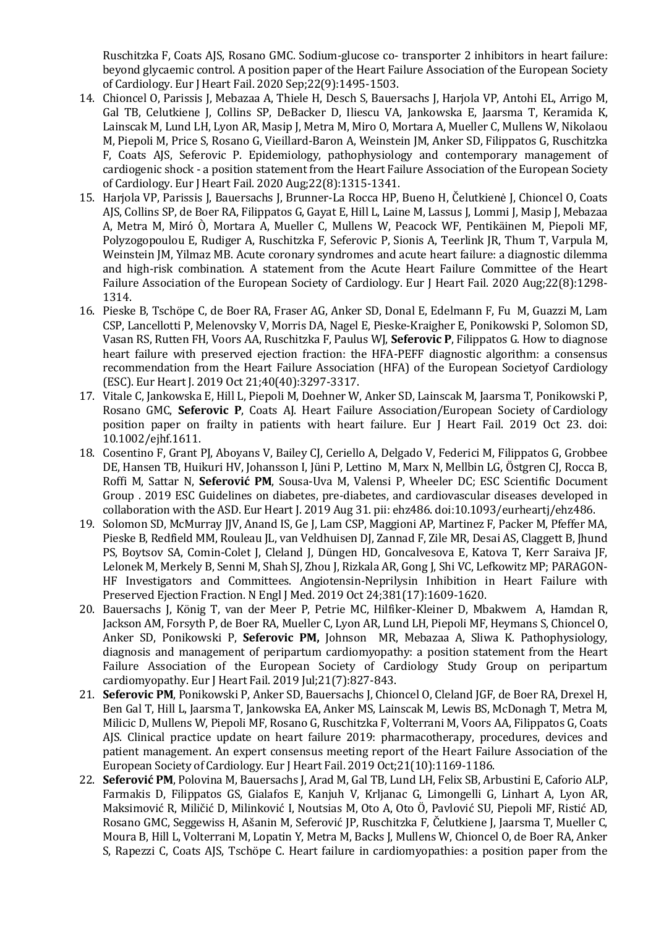Ruschitzka F, Coats AJS, Rosano GMC. Sodium-glucose co- transporter 2 inhibitors in heart failure: beyond glycaemic control. A position paper of the Heart Failure Association of the European Society of Cardiology. Eur J Heart Fail. 2020 Sep;22(9):1495-1503.

- 14. Chioncel O, Parissis J, Mebazaa A, Thiele H, Desch S, Bauersachs J, Harjola VP, Antohi EL, Arrigo M, Gal TB, Celutkiene J, Collins SP, DeBacker D, Iliescu VA, Jankowska E, Jaarsma T, Keramida K, Lainscak M, Lund LH, Lyon AR, Masip J, Metra M, Miro O, Mortara A, Mueller C, Mullens W, Nikolaou M, Piepoli M, Price S, Rosano G, Vieillard-Baron A, Weinstein JM, Anker SD, Filippatos G, Ruschitzka F, Coats AJS, Seferovic P. Epidemiology, pathophysiology and contemporary management of cardiogenic shock - a position statement from the Heart Failure Association of the European Society of Cardiology. Eur J Heart Fail. 2020 Aug;22(8):1315-1341.
- 15. Harjola VP, Parissis J, Bauersachs J, Brunner-La Rocca HP, Bueno H, Čelutkienė J, Chioncel O, Coats AJS, Collins SP, de Boer RA, Filippatos G, Gayat E, Hill L, Laine M, Lassus J, Lommi J, Masip J, Mebazaa A, Metra M, Miró Ò, Mortara A, Mueller C, Mullens W, Peacock WF, Pentikäinen M, Piepoli MF, Polyzogopoulou E, Rudiger A, Ruschitzka F, Seferovic P, Sionis A, Teerlink JR, Thum T, Varpula M, Weinstein JM, Yilmaz MB. Acute coronary syndromes and acute heart failure: a diagnostic dilemma and high-risk combination. A statement from the Acute Heart Failure Committee of the Heart Failure Association of the European Society of Cardiology. Eur J Heart Fail. 2020 Aug;22(8):1298- 1314.
- 16. Pieske B, Tschöpe C, de Boer RA, Fraser AG, Anker SD, Donal E, Edelmann F, Fu M, Guazzi M, Lam CSP, Lancellotti P, Melenovsky V, Morris DA, Nagel E, Pieske-Kraigher E, Ponikowski P, Solomon SD, Vasan RS, Rutten FH, Voors AA, Ruschitzka F, Paulus WJ, **Seferovic P**, Filippatos G. How to diagnose heart failure with preserved ejection fraction: the HFA-PEFF diagnostic algorithm: a consensus recommendation from the Heart Failure Association (HFA) of the European Societyof Cardiology (ESC). Eur Heart J. 2019 Oct 21;40(40):3297-3317.
- 17. Vitale C, Jankowska E, Hill L, Piepoli M, Doehner W, Anker SD, Lainscak M, Jaarsma T, Ponikowski P, Rosano GMC, **Seferovic P**, Coats AJ. Heart Failure Association/European Society of Cardiology position paper on frailty in patients with heart failure. Eur J Heart Fail. 2019 Oct 23. doi: 10.1002/ejhf.1611.
- 18. Cosentino F, Grant PJ, Aboyans V, Bailey CJ, Ceriello A, Delgado V, Federici M, Filippatos G, Grobbee DE, Hansen TB, Huikuri HV, Johansson I, Jüni P, Lettino M, Marx N, Mellbin LG, Östgren CJ, Rocca B, Roffi M, Sattar N, **Seferović PM**, Sousa-Uva M, Valensi P, Wheeler DC; ESC Scientific Document Group . 2019 ESC Guidelines on diabetes, pre-diabetes, and cardiovascular diseases developed in collaboration with the ASD. Eur Heart J. 2019 Aug 31. pii: ehz486. doi:10.1093/eurheartj/ehz486.
- 19. Solomon SD, McMurray JJV, Anand IS, Ge J, Lam CSP, Maggioni AP, Martinez F, Packer M, Pfeffer MA, Pieske B, Redfield MM, Rouleau JL, van Veldhuisen DJ, Zannad F, Zile MR, Desai AS, Claggett B, Jhund PS, Boytsov SA, Comin-Colet J, Cleland J, Düngen HD, Goncalvesova E, Katova T, Kerr Saraiva JF, Lelonek M, Merkely B, Senni M, Shah SJ, Zhou J, Rizkala AR, Gong J, Shi VC, Lefkowitz MP; PARAGON-HF Investigators and Committees. Angiotensin-Neprilysin Inhibition in Heart Failure with Preserved Ejection Fraction. N Engl J Med. 2019 Oct 24;381(17):1609-1620.
- 20. Bauersachs J, König T, van der Meer P, Petrie MC, Hilfiker-Kleiner D, Mbakwem A, Hamdan R, Jackson AM, Forsyth P, de Boer RA, Mueller C, Lyon AR, Lund LH, Piepoli MF, Heymans S, Chioncel O, Anker SD, Ponikowski P, **Seferovic PM,** Johnson MR, Mebazaa A, Sliwa K. Pathophysiology, diagnosis and management of peripartum cardiomyopathy: a position statement from the Heart Failure Association of the European Society of Cardiology Study Group on peripartum cardiomyopathy. Eur J Heart Fail. 2019 Jul;21(7):827-843.
- 21. **Seferovic PM**, Ponikowski P, Anker SD, Bauersachs J, Chioncel O, Cleland JGF, de Boer RA, Drexel H, Ben Gal T, Hill L, Jaarsma T, Jankowska EA, Anker MS, Lainscak M, Lewis BS, McDonagh T, Metra M, Milicic D, Mullens W, Piepoli MF, Rosano G, Ruschitzka F, Volterrani M, Voors AA, Filippatos G, Coats AJS. Clinical practice update on heart failure 2019: pharmacotherapy, procedures, devices and patient management. An expert consensus meeting report of the Heart Failure Association of the European Society of Cardiology. Eur J Heart Fail. 2019 Oct;21(10):1169-1186.
- 22. **Seferović PM**, Polovina M, Bauersachs J, Arad M, Gal TB, Lund LH, Felix SB, Arbustini E, Caforio ALP, Farmakis D, Filippatos GS, Gialafos E, Kanjuh V, Krljanac G, Limongelli G, Linhart A, Lyon AR, Maksimović R, Miličić D, Milinković I, Noutsias M, Oto A, Oto Ö, Pavlović SU, Piepoli MF, Ristić AD, Rosano GMC, Seggewiss H, Ašanin M, Seferović JP, Ruschitzka F, Čelutkiene J, Jaarsma T, Mueller C, Moura B, Hill L, Volterrani M, Lopatin Y, Metra M, Backs J, Mullens W, Chioncel O, de Boer RA, Anker S, Rapezzi C, Coats AJS, Tschöpe C. Heart failure in cardiomyopathies: a position paper from the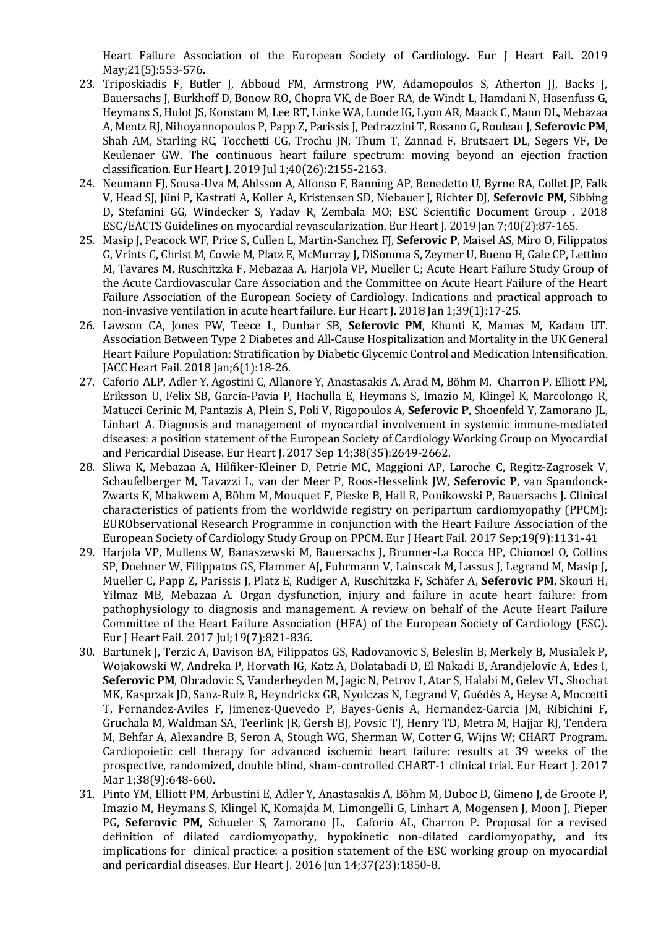Heart Failure Association of the European Society of Cardiology. Eur J Heart Fail. 2019 May;21(5):553-576.

- 23. Triposkiadis F, Butler J, Abboud FM, Armstrong PW, Adamopoulos S, Atherton JJ, Backs J, Bauersachs J, Burkhoff D, Bonow RO, Chopra VK, de Boer RA, de Windt L, Hamdani N, Hasenfuss G, Heymans S, Hulot JS, Konstam M, Lee RT, Linke WA, Lunde IG, Lyon AR, Maack C, Mann DL, Mebazaa A, Mentz RJ, Nihoyannopoulos P, Papp Z, Parissis J, Pedrazzini T, Rosano G, Rouleau J, **Seferovic PM**, Shah AM, Starling RC, Tocchetti CG, Trochu JN, Thum T, Zannad F, Brutsaert DL, Segers VF, De Keulenaer GW. The continuous heart failure spectrum: moving beyond an ejection fraction classification. Eur Heart J. 2019 Jul 1;40(26):2155-2163.
- 24. Neumann FJ, Sousa-Uva M, Ahlsson A, Alfonso F, Banning AP, Benedetto U, Byrne RA, Collet JP, Falk V, Head SJ, Jüni P, Kastrati A, Koller A, Kristensen SD, Niebauer J, Richter DJ, **Seferovic PM**, Sibbing D, Stefanini GG, Windecker S, Yadav R, Zembala MO; ESC Scientific Document Group . 2018 ESC/EACTS Guidelines on myocardial revascularization. Eur Heart J. 2019 Jan 7;40(2):87-165.
- 25. Masip J, Peacock WF, Price S, Cullen L, Martin-Sanchez FJ, **Seferovic P**, Maisel AS, Miro O, Filippatos G, Vrints C, Christ M, Cowie M, Platz E, McMurray J, DiSomma S, Zeymer U, Bueno H, Gale CP, Lettino M, Tavares M, Ruschitzka F, Mebazaa A, Harjola VP, Mueller C; Acute Heart Failure Study Group of the Acute Cardiovascular Care Association and the Committee on Acute Heart Failure of the Heart Failure Association of the European Society of Cardiology. Indications and practical approach to non-invasive ventilation in acute heart failure. Eur Heart J. 2018 Jan 1;39(1):17-25.
- 26. Lawson CA, Jones PW, Teece L, Dunbar SB, **Seferovic PM**, Khunti K, Mamas M, Kadam UT. Association Between Type 2 Diabetes and All-Cause Hospitalization and Mortality in the UK General Heart Failure Population: Stratification by Diabetic Glycemic Control and Medication Intensification. JACC Heart Fail. 2018 Jan;6(1):18-26.
- 27. Caforio ALP, Adler Y, Agostini C, Allanore Y, Anastasakis A, Arad M, Böhm M, Charron P, Elliott PM, Eriksson U, Felix SB, Garcia-Pavia P, Hachulla E, Heymans S, Imazio M, Klingel K, Marcolongo R, Matucci Cerinic M, Pantazis A, Plein S, Poli V, Rigopoulos A, **Seferovic P**, Shoenfeld Y, Zamorano JL, Linhart A. Diagnosis and management of myocardial involvement in systemic immune-mediated diseases: a position statement of the European Society of Cardiology Working Group on Myocardial and Pericardial Disease. Eur Heart J. 2017 Sep 14;38(35):2649-2662.
- 28. Sliwa K, Mebazaa A, Hilfiker-Kleiner D, Petrie MC, Maggioni AP, Laroche C, Regitz-Zagrosek V, Schaufelberger M, Tavazzi L, van der Meer P, Roos-Hesselink JW, **Seferovic P**, van Spandonck-Zwarts K, Mbakwem A, Böhm M, Mouquet F, Pieske B, Hall R, Ponikowski P, Bauersachs J. Clinical characteristics of patients from the worldwide registry on peripartum cardiomyopathy (PPCM): EURObservational Research Programme in conjunction with the Heart Failure Association of the European Society of Cardiology Study Group on PPCM. Eur J Heart Fail. 2017 Sep;19(9):1131-41
- 29. Harjola VP, Mullens W, Banaszewski M, Bauersachs J, Brunner-La Rocca HP, Chioncel O, Collins SP, Doehner W, Filippatos GS, Flammer AJ, Fuhrmann V, Lainscak M, Lassus J, Legrand M, Masip J, Mueller C, Papp Z, Parissis J, Platz E, Rudiger A, Ruschitzka F, Schäfer A, **Seferovic PM**, Skouri H, Yilmaz MB, Mebazaa A. Organ dysfunction, injury and failure in acute heart failure: from pathophysiology to diagnosis and management. A review on behalf of the Acute Heart Failure Committee of the Heart Failure Association (HFA) of the European Society of Cardiology (ESC). Eur J Heart Fail. 2017 Jul;19(7):821-836.
- 30. Bartunek J, Terzic A, Davison BA, Filippatos GS, Radovanovic S, Beleslin B, Merkely B, Musialek P, Wojakowski W, Andreka P, Horvath IG, Katz A, Dolatabadi D, El Nakadi B, Arandjelovic A, Edes I, **Seferovic PM**, Obradovic S, Vanderheyden M, Jagic N, Petrov I, Atar S, Halabi M, Gelev VL, Shochat MK, Kasprzak JD, Sanz-Ruiz R, Heyndrickx GR, Nyolczas N, Legrand V, Guédès A, Heyse A, Moccetti T, Fernandez-Aviles F, Jimenez-Quevedo P, Bayes-Genis A, Hernandez-Garcia JM, Ribichini F, Gruchala M, Waldman SA, Teerlink JR, Gersh BJ, Povsic TJ, Henry TD, Metra M, Hajjar RJ, Tendera M, Behfar A, Alexandre B, Seron A, Stough WG, Sherman W, Cotter G, Wijns W; CHART Program. Cardiopoietic cell therapy for advanced ischemic heart failure: results at 39 weeks of the prospective, randomized, double blind, sham-controlled CHART-1 clinical trial. Eur Heart J. 2017 Mar 1;38(9):648-660.
- 31. Pinto YM, Elliott PM, Arbustini E, Adler Y, Anastasakis A, Böhm M, Duboc D, Gimeno J, de Groote P, Imazio M, Heymans S, Klingel K, Komajda M, Limongelli G, Linhart A, Mogensen J, Moon J, Pieper PG, **Seferovic PM**, Schueler S, Zamorano JL, Caforio AL, Charron P. Proposal for a revised definition of dilated cardiomyopathy, hypokinetic non-dilated cardiomyopathy, and its implications for clinical practice: a position statement of the ESC working group on myocardial and pericardial diseases. Eur Heart J. 2016 Jun 14;37(23):1850-8.